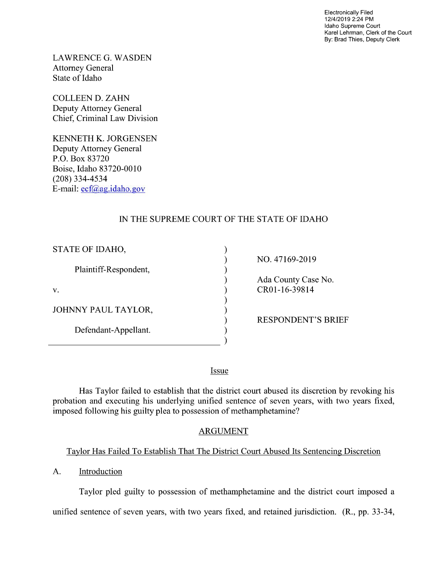Electronically Filed 12/4/2019 2:24 PM Idaho Supreme Court Karel Lehrman, Clerk of the Court By: Brad Thies, Deputy Clerk

LAWRENCE G. WASDEN Attorney General State of Idaho

COLLEEN D. ZAHN Deputy Attorney General Chief, Criminal Law Division

KENNETH K. JORGENSEN Deputy Attorney General P.O. Box 83720 Boise, Idaho 83720-0010 (208) 334—4534 E—mail: ecf@ag.idaho.gov

# IN THE SUPREME COURT OF THE STATE OF IDAHO

| STATE OF IDAHO,       |                           |
|-----------------------|---------------------------|
|                       | NO. 47169-2019            |
| Plaintiff-Respondent, |                           |
|                       | Ada County Case No.       |
| V.                    | CR01-16-39814             |
|                       |                           |
| JOHNNY PAUL TAYLOR,   |                           |
|                       | <b>RESPONDENT'S BRIEF</b> |
| Defendant-Appellant.  |                           |
|                       |                           |

Issue

Has Taylor failed to establish that the district court abused its discretion by revoking his probation and executing his underlying unified sentence of seven years, with two years fixed, imposed following his guilty plea to possession of methamphetamine?

## ARGUMENT

## Tavlor Has Failed To Establish That The District Court Abused Its Sentencing Discretion

A. Introduction

Taylor pled guilty to possession of methamphetamine and the district court imposed a unified sentence of seven years, With two years fixed, and retained jurisdiction. (R., pp. 33-34,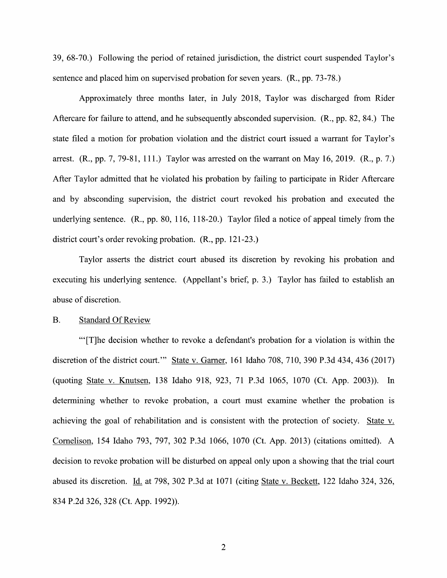39, 68-70.) Following the period of retained jurisdiction, the district court suspended Taylor's sentence and placed him 0n supervised probation for seven years. (R., pp. 73-78.)

Approximately three months later, in July 2018, Taylor was discharged from Rider Aftercare for failure to attend, and he subsequently absconded supervision. (R., pp. 82, 84.) The state filed a motion for probation violation and the district court issued a warrant for Taylor's arrest.  $(R., pp. 7, 79-81, 111.)$  Taylor was arrested on the warrant on May 16, 2019.  $(R., p. 7.)$ After Taylor admitted that he violated his probation by failing to participate in Rider Aftercare and by absconding supervision, the district court revoked his probation and executed the underlying sentence.  $(R., pp. 80, 116, 118-20.)$  Taylor filed a notice of appeal timely from the district court's order revoking probation. (R., pp. 121-23.)

Taylor asserts the district court abused its discretion by revoking his probation and executing his underlying sentence. (Appellant's brief, p. 3.) Taylor has failed to establish an abuse 0f discretion.

#### B. Standard Of Review

"'[T]he decision whether to revoke a defendant's probation for a violation is within the discretion 0f the district court."' State V. Garner, 161 Idaho 708, 710, 390 P.3d 434, 436 (2017) (quoting State V. Knutsen, 138 Idaho 918, 923, 71 P.3d 1065, 1070 (Ct. App. 2003)). In determining whether to revoke probation, a court must examine whether the probation is achieving the goal of rehabilitation and is consistent with the protection of society. State v. Cornelison, 154 Idaho 793, 797, 302 P.3d 1066, 1070 (Ct. App. 2013) (citations omitted). decision to revoke probation will be disturbed on appeal only upon a showing that the trial court abused its discretion. Id. at 798, 302 P.3d at 1071 (citing State v. Beckett, 122 Idaho 324, 326, 834 P.2d 326, 328 (Ct. App. 1992)).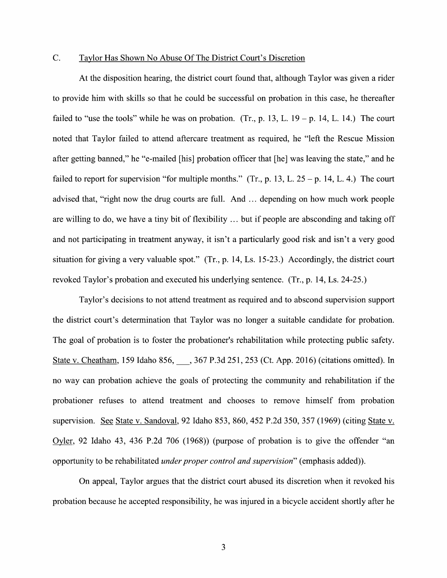### C. Taylor Has Shown N0 Abuse Of The District Court's Discretion

At the disposition hearing, the district court found that, although Taylor was given a rider to provide him with skills so that he could be successful on probation in this case, he thereafter failed to "use the tools" while he was on probation. (Tr., p. 13, L.  $19 - p$ . 14, L. 14.) The court noted that Taylor failed to attend aftercare treatment as required, he "left the Rescue Mission after getting banned," he "e-mailed [his] probation officer that [he] was leaving the state," and he failed to report for supervision "for multiple months." (Tr., p. 13, L.  $25 - p$ . 14, L. 4.) The court advised that, "right now the drug courts are full. And ... depending on how much work people are willing to do, we have a tiny bit of flexibility  $\ldots$  but if people are absconding and taking off and not participating in treatment anyway, it isn't a particularly good risk and isn't a very good situation for giving a very valuable spot." (Tr., p. 14, Ls. 15-23.) Accordingly, the district court revoked Taylor's probation and executed his underlying sentence. (Tr., p. 14, Ls. 24-25.)

Taylor's decisions to not attend treatment as required and to abscond supervision support the district court's determination that Taylor was no longer a suitable candidate for probation. The goal 0f probation is to foster the probationer's rehabilitation while protecting public safety. State v. Cheatham, 159 Idaho 856, 367 P.3d 251, 253 (Ct. App. 2016) (citations omitted). In no way can probation achieve the goals of protecting the community and rehabilitation if the probationer refuses to attend treatment and chooses to remove himself from probation supervision. See State v. Sandoval, 92 Idaho 853, 860, 452 P.2d 350, 357 (1969) (citing State v. Oyler, 92 Idaho 43, 436 P.2d 706 (1968)) (purpose of probation is to give the offender "an opportunity to be rehabilitated *under proper control and supervision*" (emphasis added)).

On appeal, Taylor argues that the district court abused its discretion when it revoked his probation because he accepted responsibility, he was injured in a bicycle accident shortly after he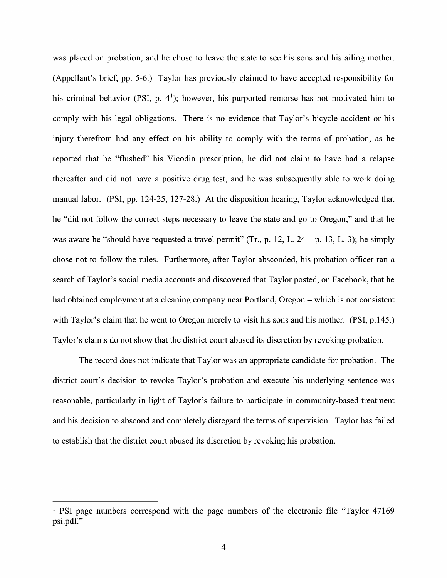was placed on probation, and he chose to leave the state to see his sons and his ailing mother. (Appellant's brief, pp. 5-6.) Taylor has previously claimed to have accepted responsibility for his criminal behavior (PSI, p.  $4^1$ ); however, his purported remorse has not motivated him to comply with his legal obligations. There is no evidence that Taylor's bicycle accident or his injury therefrom had any effect on his ability to comply with the terms of probation, as he reported that he "flushed" his Vicodin prescription, he did not claim to have had relapse thereafter and did not have a positive drug test, and he was subsequently able to work doing manual labor. (PSI, pp. 124-25, 127-28.) At the disposition hearing, Taylor acknowledged that he "did not follow the correct steps necessary to leave the state and go to Oregon," and that he was aware he "should have requested a travel permit" (Tr., p. 12, L. 24 - p. 13, L. 3); he simply chose not to follow the rules. Furthermore, after Taylor absconded, his probation officer ran a search 0f Taylor's social media accounts and discovered that Taylor posted, 0n Facebook, that he had obtained employment at a cleaning company near Portland, Oregon – which is not consistent with Taylor's claim that he went to Oregon merely to visit his sons and his mother. (PSI, p.145.) Taylor's claims do not show that the district court abused its discretion by revoking probation.

The record does not indicate that Taylor was an appropriate candidate for probation. The district court's decision t0 revoke Taylor's probation and execute his underlying sentence was reasonable, particularly in light of Taylor's failure to participate in community-based treatment and his decision to abscond and completely disregard the terms 0f supervision. Taylor has failed to establish that the district court abused its discretion by revoking his probation.

 $<sup>1</sup>$  PSI page numbers correspond with the page numbers of the electronic file "Taylor 47169"</sup> psi.pdf."